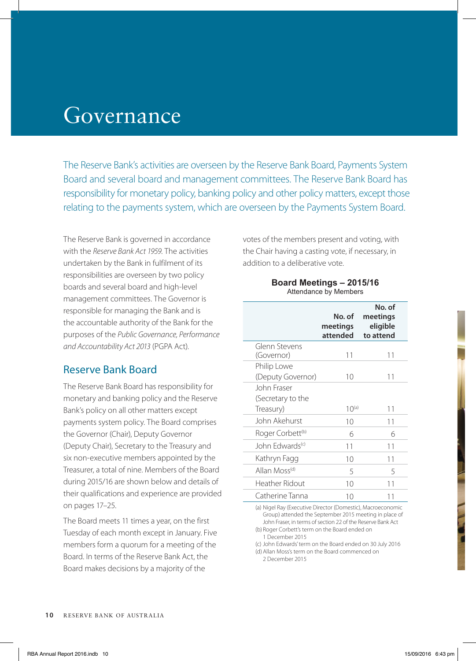# Governance

The Reserve Bank's activities are overseen by the Reserve Bank Board, Payments System Board and several board and management committees. The Reserve Bank Board has responsibility for monetary policy, banking policy and other policy matters, except those relating to the payments system, which are overseen by the Payments System Board.

The Reserve Bank is governed in accordance with the *Reserve Bank Act 1959*. The activities undertaken by the Bank in fulfilment of its responsibilities are overseen by two policy boards and several board and high-level management committees. The Governor is responsible for managing the Bank and is the accountable authority of the Bank for the purposes of the *Public Governance, Performance and Accountability Act 2013* (PGPA Act).

#### Reserve Bank Board

The Reserve Bank Board has responsibility for monetary and banking policy and the Reserve Bank's policy on all other matters except payments system policy. The Board comprises the Governor (Chair), Deputy Governor (Deputy Chair), Secretary to the Treasury and six non-executive members appointed by the Treasurer, a total of nine. Members of the Board during 2015/16 are shown below and details of their qualifications and experience are provided on pages 17–25.

The Board meets 11 times a year, on the first Tuesday of each month except in January. Five members form a quorum for a meeting of the Board. In terms of the Reserve Bank Act, the Board makes decisions by a majority of the

votes of the members present and voting, with the Chair having a casting vote, if necessary, in addition to a deliberative vote.

#### **Board Meetings – 2015/16** Attendance by Members

|                                               | No. of<br>meetings<br>attended | No. of<br>meetings<br>eligible<br>to attend |
|-----------------------------------------------|--------------------------------|---------------------------------------------|
| Glenn Stevens<br>(Governor)                   | 11                             | 11                                          |
| Philip Lowe<br>(Deputy Governor)              | 10                             | 11                                          |
| John Fraser<br>(Secretary to the<br>Treasury) | $10^{(a)}$                     | 11                                          |
| John Akehurst                                 | 10                             | 11                                          |
| Roger Corbett <sup>(b)</sup>                  | 6                              | 6                                           |
| John Edwards <sup>(c)</sup>                   | 11                             | 11                                          |
| Kathryn Fagg                                  | 10                             | 11                                          |
| Allan Moss <sup>(d)</sup>                     | 5                              | 5                                           |
| Heather Ridout                                | 10                             | 11                                          |
| Catherine Tanna                               | 10                             | 11                                          |

(a) Nigel Ray (Executive Director (Domestic), Macroeconomic Group) attended the September 2015 meeting in place of John Fraser, in terms of section 22 of the Reserve Bank Act (b) Roger Corbett's term on the Board ended on 1 December 2015

(c) John Edwards' term on the Board ended on 30 July 2016 (d) Allan Moss's term on the Board commenced on

2 December 2015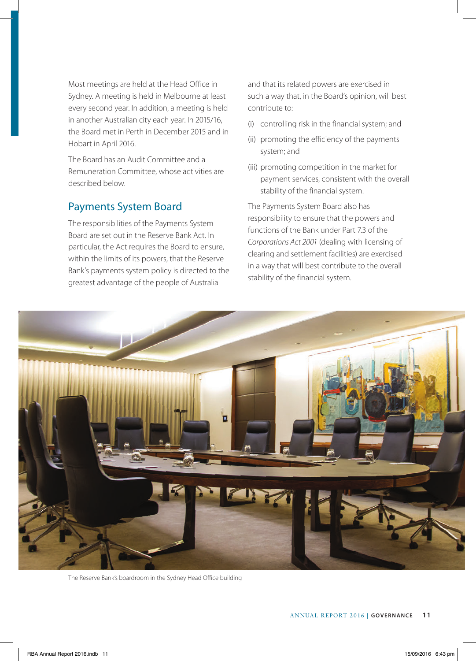Most meetings are held at the Head Office in Sydney. A meeting is held in Melbourne at least every second year. In addition, a meeting is held in another Australian city each year. In 2015/16, the Board met in Perth in December 2015 and in Hobart in April 2016.

The Board has an Audit Committee and a Remuneration Committee, whose activities are described below.

#### Payments System Board

The responsibilities of the Payments System Board are set out in the Reserve Bank Act. In particular, the Act requires the Board to ensure, within the limits of its powers, that the Reserve Bank's payments system policy is directed to the greatest advantage of the people of Australia

and that its related powers are exercised in such a way that, in the Board's opinion, will best contribute to:

- (i) controlling risk in the financial system; and
- (ii) promoting the efficiency of the payments system; and
- (iii) promoting competition in the market for payment services, consistent with the overall stability of the financial system.

The Payments System Board also has responsibility to ensure that the powers and functions of the Bank under Part 7.3 of the *Corporations Act 2001* (dealing with licensing of clearing and settlement facilities) are exercised in a way that will best contribute to the overall stability of the financial system.



The Reserve Bank's boardroom in the Sydney Head Office building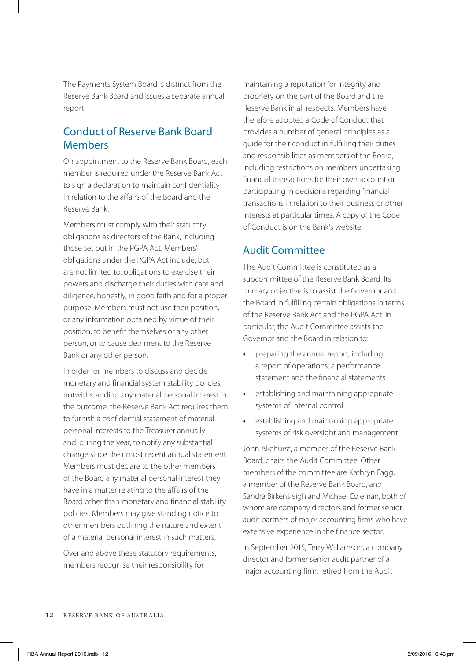The Payments System Board is distinct from the Reserve Bank Board and issues a separate annual report.

#### Conduct of Reserve Bank Board Members

On appointment to the Reserve Bank Board, each member is required under the Reserve Bank Act to sign a declaration to maintain confidentiality in relation to the affairs of the Board and the Reserve Bank.

Members must comply with their statutory obligations as directors of the Bank, including those set out in the PGPA Act. Members' obligations under the PGPA Act include, but are not limited to, obligations to exercise their powers and discharge their duties with care and diligence, honestly, in good faith and for a proper purpose. Members must not use their position, or any information obtained by virtue of their position, to benefit themselves or any other person, or to cause detriment to the Reserve Bank or any other person.

In order for members to discuss and decide monetary and financial system stability policies, notwithstanding any material personal interest in the outcome, the Reserve Bank Act requires them to furnish a confidential statement of material personal interests to the Treasurer annually and, during the year, to notify any substantial change since their most recent annual statement. Members must declare to the other members of the Board any material personal interest they have in a matter relating to the affairs of the Board other than monetary and financial stability policies. Members may give standing notice to other members outlining the nature and extent of a material personal interest in such matters.

Over and above these statutory requirements, members recognise their responsibility for

maintaining a reputation for integrity and propriety on the part of the Board and the Reserve Bank in all respects. Members have therefore adopted a Code of Conduct that provides a number of general principles as a guide for their conduct in fulfilling their duties and responsibilities as members of the Board, including restrictions on members undertaking financial transactions for their own account or participating in decisions regarding financial transactions in relation to their business or other interests at particular times. A copy of the Code of Conduct is on the Bank's website.

#### Audit Committee

The Audit Committee is constituted as a subcommittee of the Reserve Bank Board. Its primary objective is to assist the Governor and the Board in fulfilling certain obligations in terms of the Reserve Bank Act and the PGPA Act. In particular, the Audit Committee assists the Governor and the Board in relation to:

- **•** preparing the annual report, including a report of operations, a performance statement and the financial statements
- **•** establishing and maintaining appropriate systems of internal control
- **•** establishing and maintaining appropriate systems of risk oversight and management.

John Akehurst, a member of the Reserve Bank Board, chairs the Audit Committee. Other members of the committee are Kathryn Fagg, a member of the Reserve Bank Board, and Sandra Birkensleigh and Michael Coleman, both of whom are company directors and former senior audit partners of major accounting firms who have extensive experience in the finance sector.

In September 2015, Terry Williamson, a company director and former senior audit partner of a major accounting firm, retired from the Audit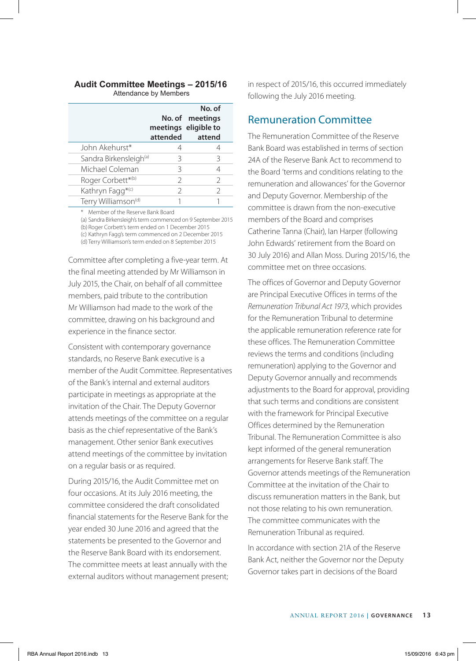# **Audit Committee Meetings – 2015/16**

|                                    |               | No. of<br>No. of meetings<br>meetings eligible to<br>attended attend |
|------------------------------------|---------------|----------------------------------------------------------------------|
| John Akehurst*                     |               |                                                                      |
| Sandra Birkensleigh <sup>(a)</sup> | 3             | 3                                                                    |
| Michael Coleman                    | 3             | 4                                                                    |
| Roger Corbett*(b)                  | $\mathcal{D}$ | $\mathcal{P}$                                                        |
| Kathryn Fagg <sup>*(c)</sup>       | C.            | $\mathcal{P}$                                                        |
| Terry Williamson <sup>(d)</sup>    |               |                                                                      |

\* Member of the Reserve Bank Board

(a) Sandra Birkensleigh's term commenced on 9 September 2015 (b) Roger Corbett's term ended on 1 December 2015 (c) Kathryn Fagg's term commenced on 2 December 2015 (d) Terry Williamson's term ended on 8 September 2015

Committee after completing a five-year term. At the final meeting attended by Mr Williamson in July 2015, the Chair, on behalf of all committee members, paid tribute to the contribution Mr Williamson had made to the work of the committee, drawing on his background and experience in the finance sector.

Consistent with contemporary governance standards, no Reserve Bank executive is a member of the Audit Committee. Representatives of the Bank's internal and external auditors participate in meetings as appropriate at the invitation of the Chair. The Deputy Governor attends meetings of the committee on a regular basis as the chief representative of the Bank's management. Other senior Bank executives attend meetings of the committee by invitation on a regular basis or as required.

During 2015/16, the Audit Committee met on four occasions. At its July 2016 meeting, the committee considered the draft consolidated financial statements for the Reserve Bank for the year ended 30 June 2016 and agreed that the statements be presented to the Governor and the Reserve Bank Board with its endorsement. The committee meets at least annually with the external auditors without management present; in respect of 2015/16, this occurred immediately following the July 2016 meeting.

#### Remuneration Committee

The Remuneration Committee of the Reserve Bank Board was established in terms of section 24A of the Reserve Bank Act to recommend to the Board 'terms and conditions relating to the remuneration and allowances' for the Governor and Deputy Governor. Membership of the committee is drawn from the non-executive members of the Board and comprises Catherine Tanna (Chair), Ian Harper (following John Edwards' retirement from the Board on 30 July 2016) and Allan Moss. During 2015/16, the committee met on three occasions.

The offices of Governor and Deputy Governor are Principal Executive Offices in terms of the *Remuneration Tribunal Act 1973*, which provides for the Remuneration Tribunal to determine the applicable remuneration reference rate for these offices. The Remuneration Committee reviews the terms and conditions (including remuneration) applying to the Governor and Deputy Governor annually and recommends adjustments to the Board for approval, providing that such terms and conditions are consistent with the framework for Principal Executive Offices determined by the Remuneration Tribunal. The Remuneration Committee is also kept informed of the general remuneration arrangements for Reserve Bank staff. The Governor attends meetings of the Remuneration Committee at the invitation of the Chair to discuss remuneration matters in the Bank, but not those relating to his own remuneration. The committee communicates with the Remuneration Tribunal as required.

In accordance with section 21A of the Reserve Bank Act, neither the Governor nor the Deputy Governor takes part in decisions of the Board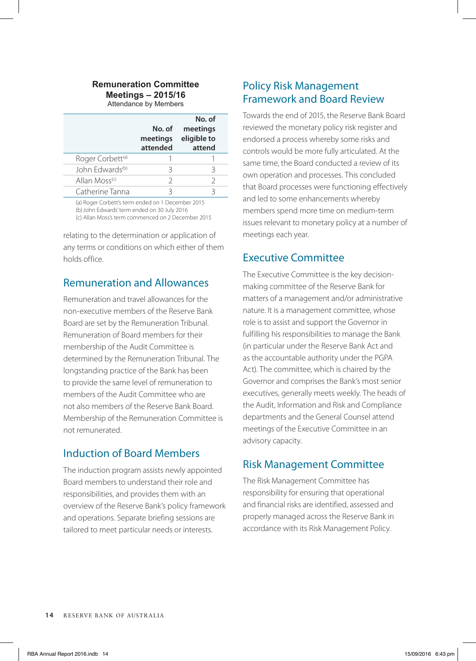#### **Remuneration Committee Meetings – 2015/16**

Attendance by Members

|                              | No. of<br>meetings<br>attended | No. of<br>meetings<br>eligible to<br>attend |
|------------------------------|--------------------------------|---------------------------------------------|
| Roger Corbett <sup>(a)</sup> |                                |                                             |
| John Edwards <sup>(b)</sup>  | 3                              | 3                                           |
| Allan Moss <sup>(c)</sup>    | C.                             | $\mathcal{D}$                               |
| Catherine Tanna              |                                | 2                                           |

(a) Roger Corbett's term ended on 1 December 2015 (b)John Edwards' term ended on 30 July 2016

(c) Allan Moss's term commenced on 2 December 2015

relating to the determination or application of any terms or conditions on which either of them holds office.

#### Remuneration and Allowances

Remuneration and travel allowances for the non-executive members of the Reserve Bank Board are set by the Remuneration Tribunal. Remuneration of Board members for their membership of the Audit Committee is determined by the Remuneration Tribunal. The longstanding practice of the Bank has been to provide the same level of remuneration to members of the Audit Committee who are not also members of the Reserve Bank Board. Membership of the Remuneration Committee is not remunerated.

# Induction of Board Members

The induction program assists newly appointed Board members to understand their role and responsibilities, and provides them with an overview of the Reserve Bank's policy framework and operations. Separate briefing sessions are tailored to meet particular needs or interests.

## Policy Risk Management Framework and Board Review

Towards the end of 2015, the Reserve Bank Board reviewed the monetary policy risk register and endorsed a process whereby some risks and controls would be more fully articulated. At the same time, the Board conducted a review of its own operation and processes. This concluded that Board processes were functioning effectively and led to some enhancements whereby members spend more time on medium-term issues relevant to monetary policy at a number of meetings each year.

## Executive Committee

The Executive Committee is the key decisionmaking committee of the Reserve Bank for matters of a management and/or administrative nature. It is a management committee, whose role is to assist and support the Governor in fulfilling his responsibilities to manage the Bank (in particular under the Reserve Bank Act and as the accountable authority under the PGPA Act). The committee, which is chaired by the Governor and comprises the Bank's most senior executives, generally meets weekly. The heads of the Audit, Information and Risk and Compliance departments and the General Counsel attend meetings of the Executive Committee in an advisory capacity.

#### Risk Management Committee

The Risk Management Committee has responsibility for ensuring that operational and financial risks are identified, assessed and properly managed across the Reserve Bank in accordance with its Risk Management Policy.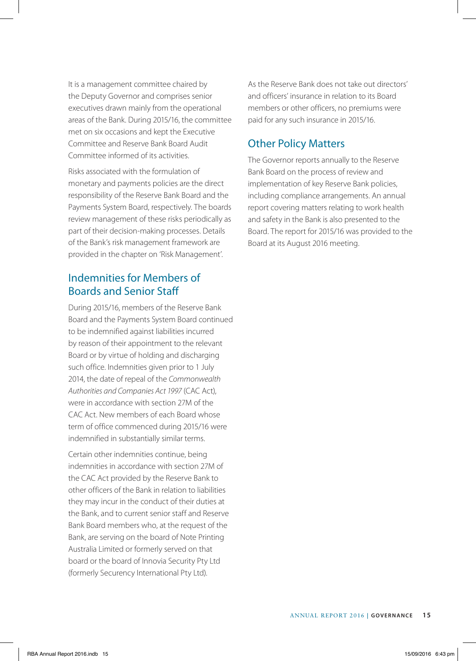It is a management committee chaired by the Deputy Governor and comprises senior executives drawn mainly from the operational areas of the Bank. During 2015/16, the committee met on six occasions and kept the Executive Committee and Reserve Bank Board Audit Committee informed of its activities.

Risks associated with the formulation of monetary and payments policies are the direct responsibility of the Reserve Bank Board and the Payments System Board, respectively. The boards review management of these risks periodically as part of their decision-making processes. Details of the Bank's risk management framework are provided in the chapter on 'Risk Management'.

#### Indemnities for Members of Boards and Senior Staff

During 2015/16, members of the Reserve Bank Board and the Payments System Board continued to be indemnified against liabilities incurred by reason of their appointment to the relevant Board or by virtue of holding and discharging such office. Indemnities given prior to 1 July 2014, the date of repeal of the *Commonwealth Authorities and Companies Act 1997* (CAC Act), were in accordance with section 27M of the CAC Act. New members of each Board whose term of office commenced during 2015/16 were indemnified in substantially similar terms.

Certain other indemnities continue, being indemnities in accordance with section 27M of the CAC Act provided by the Reserve Bank to other officers of the Bank in relation to liabilities they may incur in the conduct of their duties at the Bank, and to current senior staff and Reserve Bank Board members who, at the request of the Bank, are serving on the board of Note Printing Australia Limited or formerly served on that board or the board of Innovia Security Pty Ltd (formerly Securency International Pty Ltd).

As the Reserve Bank does not take out directors' and officers' insurance in relation to its Board members or other officers, no premiums were paid for any such insurance in 2015/16.

# Other Policy Matters

The Governor reports annually to the Reserve Bank Board on the process of review and implementation of key Reserve Bank policies, including compliance arrangements. An annual report covering matters relating to work health and safety in the Bank is also presented to the Board. The report for 2015/16 was provided to the Board at its August 2016 meeting.